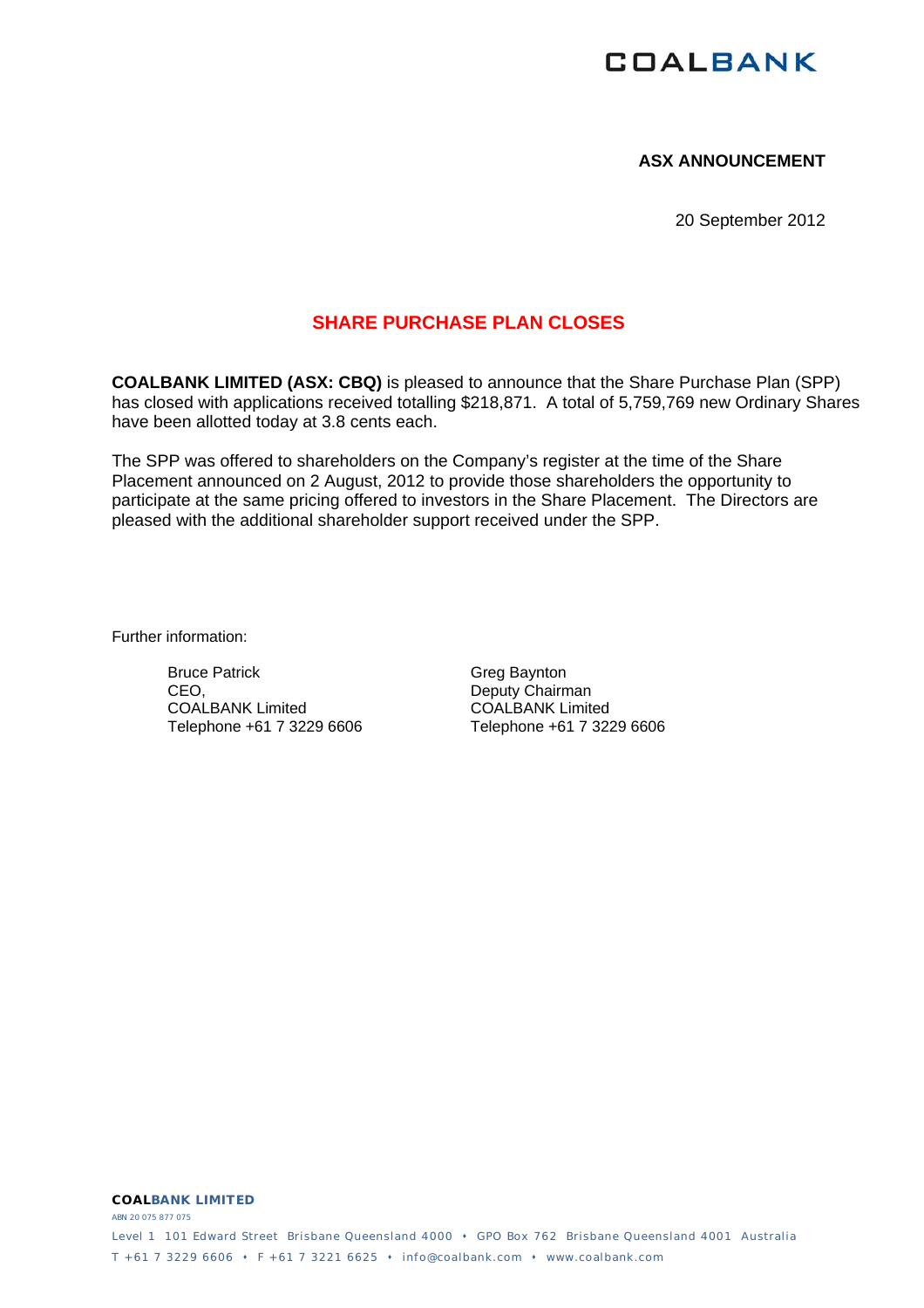# **COALBANK**

## **ASX ANNOUNCEMENT**

20 September 2012

# **SHARE PURCHASE PLAN CLOSES**

**COALBANK LIMITED (ASX: CBQ)** is pleased to announce that the Share Purchase Plan (SPP) has closed with applications received totalling \$218,871. A total of 5,759,769 new Ordinary Shares have been allotted today at 3.8 cents each.

The SPP was offered to shareholders on the Company's register at the time of the Share Placement announced on 2 August, 2012 to provide those shareholders the opportunity to participate at the same pricing offered to investors in the Share Placement. The Directors are pleased with the additional shareholder support received under the SPP.

Further information:

Bruce Patrick CEO, COALBANK Limited Telephone +61 7 3229 6606 Greg Baynton Deputy Chairman COALBANK Limited Telephone +61 7 3229 6606